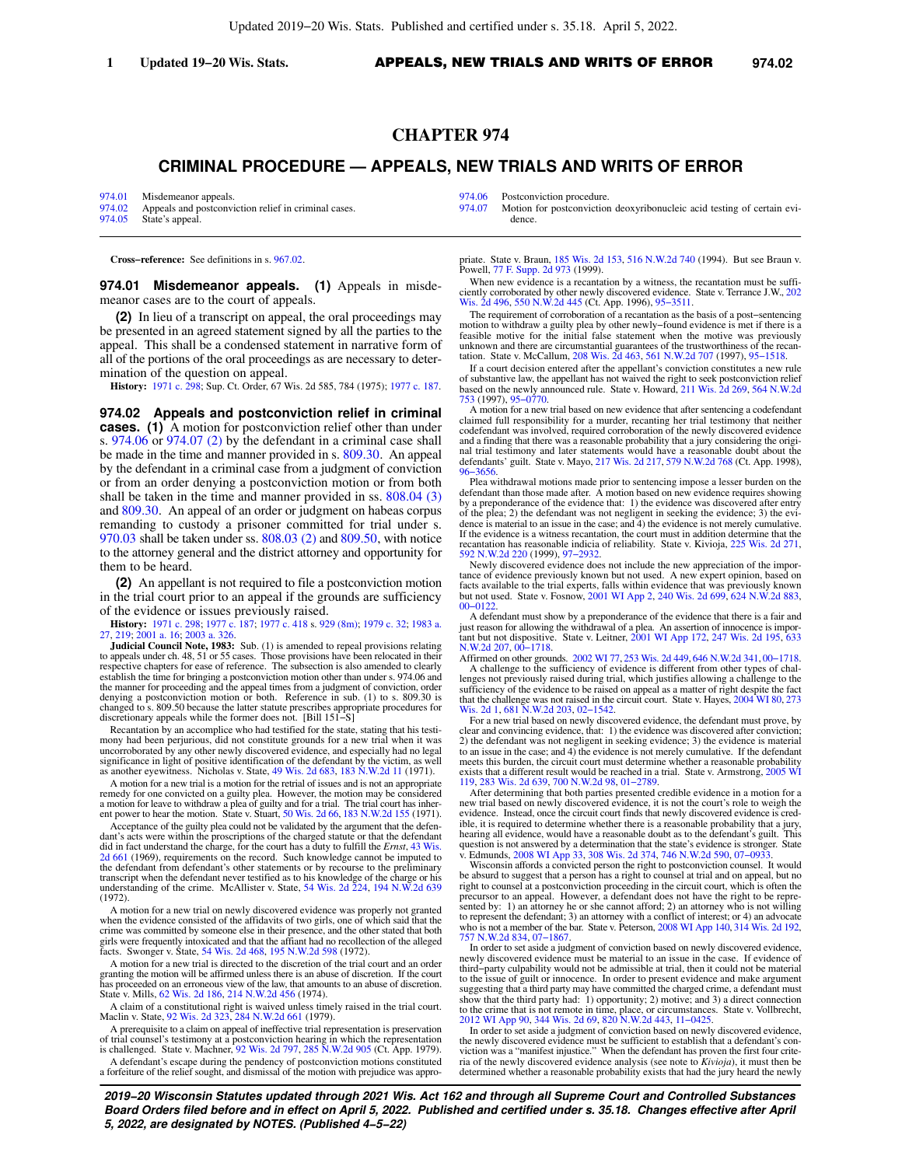## **CHAPTER 974**

# **CRIMINAL PROCEDURE — APPEALS, NEW TRIALS AND WRITS OF ERROR**

[974.01](https://docs-preview.legis.wisconsin.gov/document/statutes/974.01) Misdemeanor appeals.<br>974.02 Appeals and postconvi Appeals and postconviction relief in criminal cases. [974.05](https://docs-preview.legis.wisconsin.gov/document/statutes/974.05) State's appeal.

[974.06](https://docs-preview.legis.wisconsin.gov/document/statutes/974.06) Postconviction procedure.<br>974.07 Motion for postconviction

Motion for postconviction deoxyribonucleic acid testing of certain evidence.

**Cross−reference:** See definitions in s. [967.02](https://docs-preview.legis.wisconsin.gov/document/statutes/967.02).

**974.01 Misdemeanor appeals. (1)** Appeals in misdemeanor cases are to the court of appeals.

**(2)** In lieu of a transcript on appeal, the oral proceedings may be presented in an agreed statement signed by all the parties to the appeal. This shall be a condensed statement in narrative form of all of the portions of the oral proceedings as are necessary to determination of the question on appeal.

**History:** [1971 c. 298](https://docs-preview.legis.wisconsin.gov/document/acts/1971/298); Sup. Ct. Order, 67 Wis. 2d 585, 784 (1975); [1977 c. 187.](https://docs-preview.legis.wisconsin.gov/document/acts/1977/187)

**974.02 Appeals and postconviction relief in criminal cases. (1)** A motion for postconviction relief other than under s. [974.06](https://docs-preview.legis.wisconsin.gov/document/statutes/974.06) or [974.07 \(2\)](https://docs-preview.legis.wisconsin.gov/document/statutes/974.07(2)) by the defendant in a criminal case shall be made in the time and manner provided in s. [809.30.](https://docs-preview.legis.wisconsin.gov/document/statutes/809.30) An appeal by the defendant in a criminal case from a judgment of conviction or from an order denying a postconviction motion or from both shall be taken in the time and manner provided in ss. [808.04 \(3\)](https://docs-preview.legis.wisconsin.gov/document/statutes/808.04(3)) and [809.30.](https://docs-preview.legis.wisconsin.gov/document/statutes/809.30) An appeal of an order or judgment on habeas corpus remanding to custody a prisoner committed for trial under s. [970.03](https://docs-preview.legis.wisconsin.gov/document/statutes/970.03) shall be taken under ss. [808.03 \(2\)](https://docs-preview.legis.wisconsin.gov/document/statutes/808.03(2)) and [809.50](https://docs-preview.legis.wisconsin.gov/document/statutes/809.50), with notice to the attorney general and the district attorney and opportunity for them to be heard.

**(2)** An appellant is not required to file a postconviction motion in the trial court prior to an appeal if the grounds are sufficiency of the evidence or issues previously raised.

**History:** [1971 c. 298](https://docs-preview.legis.wisconsin.gov/document/acts/1971/298); [1977 c. 187;](https://docs-preview.legis.wisconsin.gov/document/acts/1977/187) [1977 c. 418](https://docs-preview.legis.wisconsin.gov/document/acts/1977/418) s. [929 \(8m\);](https://docs-preview.legis.wisconsin.gov/document/acts/1977/418,%20s.%20929) [1979 c. 32;](https://docs-preview.legis.wisconsin.gov/document/acts/1979/32) [1983 a.](https://docs-preview.legis.wisconsin.gov/document/acts/1983/27) [27,](https://docs-preview.legis.wisconsin.gov/document/acts/1983/27) [219;](https://docs-preview.legis.wisconsin.gov/document/acts/1983/219) [2001 a. 16](https://docs-preview.legis.wisconsin.gov/document/acts/2001/16); [2003 a. 326.](https://docs-preview.legis.wisconsin.gov/document/acts/2003/326)

**Judicial Council Note, 1983:** Sub. (1) is amended to repeal provisions relating to appeals under ch. 48, 51 or 55 cases. Those provisions have been relocated in their respective chapters for ease of reference. The subsection is also amended to clearly establish the time for bringing a postconviction motion other than under s. 974.06 and the manner for proceeding and the appeal times from a judgment of conviction, order denying a postconviction motion or both. Reference in sub. (1) to s. 809.30 is changed to s. 809.50 because the latter statute prescribes appropriate procedures for discretionary appeals while the former does not. [Bill 151−S]

Recantation by an accomplice who had testified for the state, stating that his testimony had been perjurious, did not constitute grounds for a new trial when it was uncorroborated by any other newly discovered evidence, and especially had no legal significance in light of positive identification of the defendant by the victim, as well as another eyewitness. Nicholas v. State, [49 Wis. 2d 683](https://docs-preview.legis.wisconsin.gov/document/courts/49%20Wis.%202d%20683), [183 N.W.2d 11](https://docs-preview.legis.wisconsin.gov/document/courts/183%20N.W.2d%2011) (1971).

A motion for a new trial is a motion for the retrial of issues and is not an appropriate remedy for one convicted on a guilty plea. However, the motion may be considered<br>a motion for leave to withdraw a plea of guilty and for a trial. The trial court has inher-<br>ent power to hear the motion. State v. Stuart, 50

Acceptance of the guilty plea could not be validated by the argument that the defendant's acts were within the proscriptions of the charged statute or that the defendant did in fact understand the charge, for the court has a duty to fulfill the *Ernst*, [43 Wis.](https://docs-preview.legis.wisconsin.gov/document/courts/43%20Wis.%202d%20661) [2d 661](https://docs-preview.legis.wisconsin.gov/document/courts/43%20Wis.%202d%20661) (1969), requirements on the record. Such knowledge cannot be imputed to the defendant from defendant's other statements or by recourse to the preliminary transcript when the defendant never testified as to his knowledge of the charge or his understanding of the crime. McAllister v. State, [54 Wis. 2d 224,](https://docs-preview.legis.wisconsin.gov/document/courts/54%20Wis.%202d%20224) [194 N.W.2d 639](https://docs-preview.legis.wisconsin.gov/document/courts/194%20N.W.2d%20639) (1972).

A motion for a new trial on newly discovered evidence was properly not granted when the evidence consisted of the affidavits of two girls, one of which said that the crime was committed by someone else in their presence, and the other stated that both girls were frequently intoxicated and that the affiant had no recollection of the alleged facts. Swonger v. State, [54 Wis. 2d 468](https://docs-preview.legis.wisconsin.gov/document/courts/54%20Wis.%202d%20468), [195 N.W.2d 598](https://docs-preview.legis.wisconsin.gov/document/courts/195%20N.W.2d%20598) (1972).

A motion for a new trial is directed to the discretion of the trial court and an order granting the motion will be affirmed unless there is an abuse of discretion. If the court has proceeded on an erroneous view of the law, that amounts to an abuse of discretion. State v. Mills, [62 Wis. 2d 186,](https://docs-preview.legis.wisconsin.gov/document/courts/62%20Wis.%202d%20186) [214 N.W.2d 456](https://docs-preview.legis.wisconsin.gov/document/courts/214%20N.W.2d%20456) (1974).

A claim of a constitutional right is waived unless timely raised in the trial court. Maclin v. State, [92 Wis. 2d 323,](https://docs-preview.legis.wisconsin.gov/document/courts/92%20Wis.%202d%20323) [284 N.W.2d 661](https://docs-preview.legis.wisconsin.gov/document/courts/284%20N.W.2d%20661) (1979).

A prerequisite to a claim on appeal of ineffective trial representation is preservation of trial counsel's testimony at a postconviction hearing in which the representation<br>is challenged. State v. Machner, [92 Wis. 2d 797,](https://docs-preview.legis.wisconsin.gov/document/courts/92%20Wis.%202d%20797) [285 N.W.2d 905](https://docs-preview.legis.wisconsin.gov/document/courts/285%20N.W.2d%20905) (Ct. App. 1979).

A defendant's escape during the pendency of postconviction motions constituted a forfeiture of the relief sought, and dismissal of the motion with prejudice was appro-

priate. State v. Braun, [185 Wis. 2d 153](https://docs-preview.legis.wisconsin.gov/document/courts/185%20Wis.%202d%20153), [516 N.W.2d 740](https://docs-preview.legis.wisconsin.gov/document/courts/516%20N.W.2d%20740) (1994). But see Braun v. Powell, [77 F. Supp. 2d 973](https://docs-preview.legis.wisconsin.gov/document/courts/77%20F.%20Supp.%202d%20973) (1999).

When new evidence is a recantation by a witness, the recantation must be sufficiently corroborated by other newly discovered evidence. State v. Terrance J.W., [202](https://docs-preview.legis.wisconsin.gov/document/courts/202%20Wis.%202d%20496) [Wis. 2d 496,](https://docs-preview.legis.wisconsin.gov/document/courts/202%20Wis.%202d%20496) [550 N.W.2d 445](https://docs-preview.legis.wisconsin.gov/document/courts/550%20N.W.2d%20445) (Ct. App. 1996), 95–3511.

The requirement of corroboration of a recantation as the basis of a post−sentencing motion to withdraw a guilty plea by other newly−found evidence is met if there is a feasible motive for the initial false statement when the motive was previously unknown and there are circumstantial guarantees of the trustworthiness of the recantation. State v. McCallum, [208 Wis. 2d 463,](https://docs-preview.legis.wisconsin.gov/document/courts/208%20Wis.%202d%20463) [561 N.W.2d 707](https://docs-preview.legis.wisconsin.gov/document/courts/561%20N.W.2d%20707) (1997), [95−1518](https://docs-preview.legis.wisconsin.gov/document/wisupremecourt/95-1518).

If a court decision entered after the appellant's conviction constitutes a new rule of substantive law, the appellant has not waived the right to seek postconviction relief based on the newly announced rule. State v. Howard, [211 Wis. 2d 269](https://docs-preview.legis.wisconsin.gov/document/courts/211%20Wis.%202d%20269), [564 N.W.2d](https://docs-preview.legis.wisconsin.gov/document/courts/564%20N.W.2d%20753) [753](https://docs-preview.legis.wisconsin.gov/document/courts/564%20N.W.2d%20753) (1997), [95−0770](https://docs-preview.legis.wisconsin.gov/document/wisupremecourt/95-0770).

A motion for a new trial based on new evidence that after sentencing a codefendant claimed full responsibility for a murder, recanting her trial testimony that neither codefendant was involved, required corroboration of the newly discovered evidence and a finding that there was a reasonable probability that a jury considering the origi-<br>nal trial testimony and later statements would have a reasonable doubt about the<br>defendants' guilt. State v. Mayo, [217 Wis. 2d 217](https://docs-preview.legis.wisconsin.gov/document/courts/217%20Wis.%202d%20217), 5 [96−3656.](https://docs-preview.legis.wisconsin.gov/document/wicourtofappeals/96-3656)

Plea withdrawal motions made prior to sentencing impose a lesser burden on the defendant than those made after. A motion based on new evidence requires showing by a preponderance of the evidence that: 1) the evidence was discovered after entry of the plea; 2) the defendant was not negligent in seeking the evidence; 3) the evidence is material to an issue in the case; and 4) the evidence is not merely cumulative. If the evidence is a witness recantation, the court must in addition determine that the recantation has reasonable indicia of reliability. State v. Kivioja, [225 Wis. 2d 271](https://docs-preview.legis.wisconsin.gov/document/courts/225%20Wis.%202d%20271), [592 N.W.2d 220](https://docs-preview.legis.wisconsin.gov/document/courts/592%20N.W.2d%20220) (1999), [97−2932.](https://docs-preview.legis.wisconsin.gov/document/wisupremecourt/97-2932)

Newly discovered evidence does not include the new appreciation of the impor-tance of evidence previously known but not used. A new expert opinion, based on facts available to the trial experts, falls within evidence that was previously known<br>but not used. State v. Fosnow, [2001 WI App 2](https://docs-preview.legis.wisconsin.gov/document/courts/2001%20WI%20App%202), [240 Wis. 2d 699,](https://docs-preview.legis.wisconsin.gov/document/courts/240%20Wis.%202d%20699) [624 N.W.2d 883](https://docs-preview.legis.wisconsin.gov/document/courts/624%20N.W.2d%20883), 00-012

A defendant must show by a preponderance of the evidence that there is a fair and just reason for allowing the withdrawal of a plea. An assertion of innocence is important but not dispositive. State v. Leitner, [2001 WI App 172,](https://docs-preview.legis.wisconsin.gov/document/courts/2001%20WI%20App%20172) [247 Wis. 2d 195](https://docs-preview.legis.wisconsin.gov/document/courts/247%20Wis.%202d%20195), [633](https://docs-preview.legis.wisconsin.gov/document/courts/633%20N.W.2d%20207) [N.W.2d 207,](https://docs-preview.legis.wisconsin.gov/document/courts/633%20N.W.2d%20207) [00−1718.](https://docs-preview.legis.wisconsin.gov/document/wicourtofappeals/00-1718)

Affirmed on other grounds. [2002 WI 77,](https://docs-preview.legis.wisconsin.gov/document/courts/2002%20WI%2077) [253 Wis. 2d 449,](https://docs-preview.legis.wisconsin.gov/document/courts/253%20Wis.%202d%20449) [646 N.W.2d 341](https://docs-preview.legis.wisconsin.gov/document/courts/646%20N.W.2d%20341), [00−1718](https://docs-preview.legis.wisconsin.gov/document/wisupremecourt/00-1718). A challenge to the sufficiency of evidence is different from other types of challenges not previously raised during trial, which justifies allowing a challenge to the sufficiency of the evidence to be raised on appeal as a matter of right despite the fact that the challenge was not raised in the circuit court. State v. Hayes, [2004 WI 80,](https://docs-preview.legis.wisconsin.gov/document/courts/2004%20WI%2080) [273](https://docs-preview.legis.wisconsin.gov/document/courts/273%20Wis.%202d%201) [Wis. 2d 1,](https://docs-preview.legis.wisconsin.gov/document/courts/273%20Wis.%202d%201) [681 N.W.2d 203](https://docs-preview.legis.wisconsin.gov/document/courts/681%20N.W.2d%20203), [02−1542.](https://docs-preview.legis.wisconsin.gov/document/wisupremecourt/02-1542)

For a new trial based on newly discovered evidence, the defendant must prove, by clear and convincing evidence, that: 1) the evidence was discovered after conviction; 2) the defendant was not negligent in seeking evidence; 3) the evidence is material to an issue in the case; and 4) the evidence is not merely cumulative. If the defendant meets this burden, the circuit court must determine whether a reasonable probability exists that a different result would be reached in a trial. State v. Armstrong, [2005 WI](https://docs-preview.legis.wisconsin.gov/document/courts/2005%20WI%20119) [119](https://docs-preview.legis.wisconsin.gov/document/courts/2005%20WI%20119), [283 Wis. 2d 639,](https://docs-preview.legis.wisconsin.gov/document/courts/283%20Wis.%202d%20639) [700 N.W.2d 98,](https://docs-preview.legis.wisconsin.gov/document/courts/700%20N.W.2d%2098) [01−2789](https://docs-preview.legis.wisconsin.gov/document/wisupremecourt/01-2789).

After determining that both parties presented credible evidence in a motion for a new trial based on newly discovered evidence, it is not the court's role to weigh the evidence. Instead, once the circuit court finds that newly discovered evidence is cred-ible, it is required to determine whether there is a reasonable probability that a jury, hearing all evidence, would have a reasonable doubt as to the defendant's guilt. This question is not answered by a determination that the state's evidence is stronger. State v. Edmunds, [2008 WI App 33,](https://docs-preview.legis.wisconsin.gov/document/courts/2008%20WI%20App%2033) [308 Wis. 2d 374](https://docs-preview.legis.wisconsin.gov/document/courts/308%20Wis.%202d%20374), [746 N.W.2d 590](https://docs-preview.legis.wisconsin.gov/document/courts/746%20N.W.2d%20590), [07−0933](https://docs-preview.legis.wisconsin.gov/document/wicourtofappeals/07-0933).

Wisconsin affords a convicted person the right to postconviction counsel. It would be absurd to suggest that a person has a right to counsel at trial and on appeal, but no right to counsel at a postconviction proceeding in the circuit court, which is often the precursor to an appeal. However, a defendant does not have the right to be repre-<br>sented by: 1) an attorney he or she cannot afford; 2) an attorney who is not willing<br>to represent the defendant; 3) an attorney with a confl who is not a member of the bar. State v. Peterson, [2008 WI App 140](https://docs-preview.legis.wisconsin.gov/document/courts/2008%20WI%20App%20140), [314 Wis. 2d 192](https://docs-preview.legis.wisconsin.gov/document/courts/314%20Wis.%202d%20192), [757 N.W.2d 834](https://docs-preview.legis.wisconsin.gov/document/courts/757%20N.W.2d%20834), 07–1867.

In order to set aside a judgment of conviction based on newly discovered evidence, newly discovered evidence must be material to an issue in the case. If evidence of third−party culpability would not be admissible at trial, then it could not be material to the issue of guilt or innocence. In order to present evidence and make argument suggesting that a third party may have committed the charged crime, a defendant must show that the third party had: 1) opportunity; 2) motive; and 3) a direct connection

to the crime that is not remote in time, place, or circumstances. State v. Vollbrecht,<br>[2012 WI App 90](https://docs-preview.legis.wisconsin.gov/document/courts/2012%20WI%20App%2090), [344 Wis. 2d 69](https://docs-preview.legis.wisconsin.gov/document/courts/344%20Wis.%202d%2069), [820 N.W.2d 443](https://docs-preview.legis.wisconsin.gov/document/courts/820%20N.W.2d%20443), 11–0425.<br>In order to set aside a judgment of conviction based on newly discovered evid determined whether a reasonable probability exists that had the jury heard the newly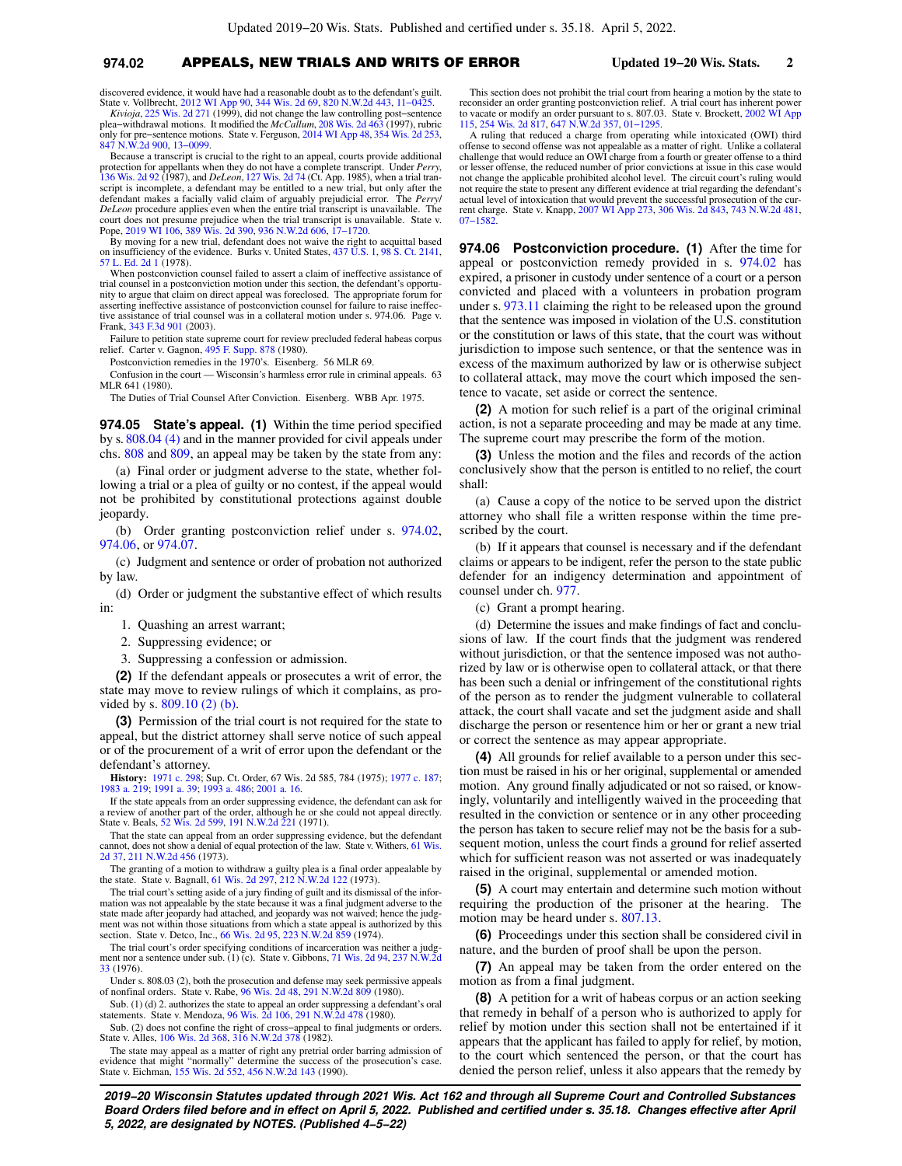## **974.02** APPEALS, NEW TRIALS AND WRITS OF ERROR **Updated 19−20 Wis. Stats. 2**

discovered evidence, it would have had a reasonable doubt as to the defendant's guilt. State v. Vollbrecht, [2012 WI App 90,](https://docs-preview.legis.wisconsin.gov/document/courts/2012%20WI%20App%2090) [344 Wis. 2d 69](https://docs-preview.legis.wisconsin.gov/document/courts/344%20Wis.%202d%2069), [820 N.W.2d 443,](https://docs-preview.legis.wisconsin.gov/document/courts/820%20N.W.2d%20443) [11−0425](https://docs-preview.legis.wisconsin.gov/document/wicourtofappeals/11-0425). *Kivioja*, [225 Wis. 2d 271](https://docs-preview.legis.wisconsin.gov/document/courts/225%20Wis.%202d%20271) (1999), did not change the law controlling post−sentence

plea−withdrawal motions. It modified the *McCallum*, [208 Wis. 2d 463](https://docs-preview.legis.wisconsin.gov/document/courts/208%20Wis.%202d%20463) (1997), rubric only for pre−sentence motions. State v. Ferguson, [2014 WI App 48,](https://docs-preview.legis.wisconsin.gov/document/courts/2014%20WI%20App%2048) [354 Wis. 2d 253](https://docs-preview.legis.wisconsin.gov/document/courts/354%20Wis.%202d%20253), [847 N.W.2d 900,](https://docs-preview.legis.wisconsin.gov/document/courts/847%20N.W.2d%20900) [13−0099](https://docs-preview.legis.wisconsin.gov/document/wicourtofappeals/13-0099).

Because a transcript is crucial to the right to an appeal, courts provide additional protection for appellants when they do not have a complete transcript. Under *Perry*, [136 Wis. 2d 92](https://docs-preview.legis.wisconsin.gov/document/courts/136%20Wis.%202d%2092) (1987), and *DeLeon*, [127 Wis. 2d 74](https://docs-preview.legis.wisconsin.gov/document/courts/127%20Wis.%202d%2074) (Ct. App. 1985), when a trial transcript is incomplete, a defendant may be entitled to a new trial, but only after the defendant makes a facially valid claim of arguably prejudicial error. The *Perry*/ *DeLeon* procedure applies even when the entire trial transcript is unavailable. The court does not presume prejudice when the trial transcript is unavailable. State v. Pope, [2019 WI 106](https://docs-preview.legis.wisconsin.gov/document/courts/2019%20WI%20106), [389 Wis. 2d 390,](https://docs-preview.legis.wisconsin.gov/document/courts/389%20Wis.%202d%20390) [936 N.W.2d 606,](https://docs-preview.legis.wisconsin.gov/document/courts/936%20N.W.2d%20606) [17−1720.](https://docs-preview.legis.wisconsin.gov/document/wicourtofappeals/17-1720)

By moving for a new trial, defendant does not waive the right to acquittal based on insufficiency of the evidence. Burks v. United States, [437 U.S. 1,](https://docs-preview.legis.wisconsin.gov/document/courts/437%20U.S.%201) [98 S. Ct. 2141](https://docs-preview.legis.wisconsin.gov/document/courts/98%20S.%20Ct.%202141), [57 L. Ed. 2d 1](https://docs-preview.legis.wisconsin.gov/document/courts/57%20L.%20Ed.%202d%201) (1978).

When postconviction counsel failed to assert a claim of ineffective assistance of trial counsel in a postconviction motion under this section, the defendant's opportunity to argue that claim on direct appeal was foreclosed. The appropriate forum for asserting ineffective assistance of postconviction counsel for failure to raise ineffective assistance of trial counsel was in a collateral motion under s. 974.06. Page v. Frank, [343 F.3d 901](https://docs-preview.legis.wisconsin.gov/document/courts/343%20F.3d%20901) (2003).

Failure to petition state supreme court for review precluded federal habeas corpus relief. Carter v. Gagnon, [495 F. Supp. 878](https://docs-preview.legis.wisconsin.gov/document/courts/495%20F.%20Supp.%20878) (1980).

Postconviction remedies in the 1970's. Eisenberg. 56 MLR 69.

Confusion in the court — Wisconsin's harmless error rule in criminal appeals. 63 MLR 641 (1980).

The Duties of Trial Counsel After Conviction. Eisenberg. WBB Apr. 1975.

**974.05 State's appeal. (1)** Within the time period specified by s. [808.04 \(4\)](https://docs-preview.legis.wisconsin.gov/document/statutes/808.04(4)) and in the manner provided for civil appeals under chs. [808](https://docs-preview.legis.wisconsin.gov/document/statutes/ch.%20808) and [809](https://docs-preview.legis.wisconsin.gov/document/statutes/ch.%20809), an appeal may be taken by the state from any:

(a) Final order or judgment adverse to the state, whether following a trial or a plea of guilty or no contest, if the appeal would not be prohibited by constitutional protections against double jeopardy.

(b) Order granting postconviction relief under s. [974.02,](https://docs-preview.legis.wisconsin.gov/document/statutes/974.02) [974.06,](https://docs-preview.legis.wisconsin.gov/document/statutes/974.06) or [974.07.](https://docs-preview.legis.wisconsin.gov/document/statutes/974.07)

(c) Judgment and sentence or order of probation not authorized by law.

(d) Order or judgment the substantive effect of which results in:

- 1. Quashing an arrest warrant;
- 2. Suppressing evidence; or
- 3. Suppressing a confession or admission.

**(2)** If the defendant appeals or prosecutes a writ of error, the state may move to review rulings of which it complains, as provided by s. [809.10 \(2\) \(b\)](https://docs-preview.legis.wisconsin.gov/document/statutes/809.10(2)(b)).

**(3)** Permission of the trial court is not required for the state to appeal, but the district attorney shall serve notice of such appeal or of the procurement of a writ of error upon the defendant or the defendant's attorney.

**History:** [1971 c. 298](https://docs-preview.legis.wisconsin.gov/document/acts/1971/298); Sup. Ct. Order, 67 Wis. 2d 585, 784 (1975); [1977 c. 187](https://docs-preview.legis.wisconsin.gov/document/acts/1977/187); [1983 a. 219;](https://docs-preview.legis.wisconsin.gov/document/acts/1983/219) [1991 a. 39;](https://docs-preview.legis.wisconsin.gov/document/acts/1991/39) [1993 a. 486;](https://docs-preview.legis.wisconsin.gov/document/acts/1993/486) [2001 a. 16.](https://docs-preview.legis.wisconsin.gov/document/acts/2001/16)

If the state appeals from an order suppressing evidence, the defendant can ask for a review of another part of the order, although he or she could not appeal directly. State v. Beals, [52 Wis. 2d 599,](https://docs-preview.legis.wisconsin.gov/document/courts/52%20Wis.%202d%20599) [191 N.W.2d 221](https://docs-preview.legis.wisconsin.gov/document/courts/191%20N.W.2d%20221) (1971).

That the state can appeal from an order suppressing evidence, but the defendant cannot, does not show a denial of equal protection of the law. State v. Withers, [61 Wis.](https://docs-preview.legis.wisconsin.gov/document/courts/61%20Wis.%202d%2037) [2d 37,](https://docs-preview.legis.wisconsin.gov/document/courts/61%20Wis.%202d%2037) [211 N.W.2d 456](https://docs-preview.legis.wisconsin.gov/document/courts/211%20N.W.2d%20456) (1973).

The granting of a motion to withdraw a guilty plea is a final order appealable by the state. State v. Bagnall, [61 Wis. 2d 297](https://docs-preview.legis.wisconsin.gov/document/courts/61%20Wis.%202d%20297), [212 N.W.2d 122](https://docs-preview.legis.wisconsin.gov/document/courts/212%20N.W.2d%20122) (1973).

The trial court's setting aside of a jury finding of guilt and its dismissal of the information was not appealable by the state because it was a final judgment adverse to the state made after jeopardy had attached, and jeopardy was not waived; hence the judgment was not within those situations from which a state appeal is authorized by this section. State v. Detco, Inc., [66 Wis. 2d 95,](https://docs-preview.legis.wisconsin.gov/document/courts/66%20Wis.%202d%2095) [223 N.W.2d 859](https://docs-preview.legis.wisconsin.gov/document/courts/223%20N.W.2d%20859) (1974).

The trial court's order specifying conditions of incarceration was neither a judgment nor a sentence under sub. (1) (c). State v. Gibbons, [71 Wis. 2d 94](https://docs-preview.legis.wisconsin.gov/document/courts/71%20Wis.%202d%2094), [237 N.W.2d](https://docs-preview.legis.wisconsin.gov/document/courts/237%20N.W.2d%2033) [33](https://docs-preview.legis.wisconsin.gov/document/courts/237%20N.W.2d%2033) (1976).

Under s. 808.03 (2), both the prosecution and defense may seek permissive appeals of nonfinal orders. State v. Rabe, [96 Wis. 2d 48,](https://docs-preview.legis.wisconsin.gov/document/courts/96%20Wis.%202d%2048) [291 N.W.2d 809](https://docs-preview.legis.wisconsin.gov/document/courts/291%20N.W.2d%20809) (1980).

Sub. (1) (d) 2. authorizes the state to appeal an order suppressing a defendant's oral statements. State v. Mendoza, [96 Wis. 2d 106](https://docs-preview.legis.wisconsin.gov/document/courts/96%20Wis.%202d%20106), [291 N.W.2d 478](https://docs-preview.legis.wisconsin.gov/document/courts/291%20N.W.2d%20478) (1980).

Sub. (2) does not confine the right of cross−appeal to final judgments or orders. State v. Alles, [106 Wis. 2d 368](https://docs-preview.legis.wisconsin.gov/document/courts/106%20Wis.%202d%20368), [316 N.W.2d 378](https://docs-preview.legis.wisconsin.gov/document/courts/316%20N.W.2d%20378) (1982).

The state may appeal as a matter of right any pretrial order barring admission of evidence that might "normally" determine the success of the prosecution's case. State v. Eichman, [155 Wis. 2d 552,](https://docs-preview.legis.wisconsin.gov/document/courts/155%20Wis.%202d%20552) [456 N.W.2d 143](https://docs-preview.legis.wisconsin.gov/document/courts/456%20N.W.2d%20143) (1990).

This section does not prohibit the trial court from hearing a motion by the state to reconsider an order granting postconviction relief. A trial court has inherent power to vacate or modify an order pursuant to s. 807.03. State v. Brockett, [2002 WI App](https://docs-preview.legis.wisconsin.gov/document/courts/2002%20WI%20App%20115) [115](https://docs-preview.legis.wisconsin.gov/document/courts/2002%20WI%20App%20115), [254 Wis. 2d 817](https://docs-preview.legis.wisconsin.gov/document/courts/254%20Wis.%202d%20817), [647 N.W.2d 357](https://docs-preview.legis.wisconsin.gov/document/courts/647%20N.W.2d%20357), [01−1295](https://docs-preview.legis.wisconsin.gov/document/wicourtofappeals/01-1295).

A ruling that reduced a charge from operating while intoxicated (OWI) third offense to second offense was not appealable as a matter of right. Unlike a collateral challenge that would reduce an OWI charge from a fourth or greater offense to a third or lesser offense, the reduced number of prior convictions at issue in this case would not change the applicable prohibited alcohol level. The circuit court's ruling would not require the state to present any different evidence at trial regarding the defendant's actual level of intoxication that would prevent the successful prosecution of the current charge. State v. Knapp, [2007 WI App 273](https://docs-preview.legis.wisconsin.gov/document/courts/2007%20WI%20App%20273), [306 Wis. 2d 843,](https://docs-preview.legis.wisconsin.gov/document/courts/306%20Wis.%202d%20843) [743 N.W.2d 481](https://docs-preview.legis.wisconsin.gov/document/courts/743%20N.W.2d%20481), [07−1582.](https://docs-preview.legis.wisconsin.gov/document/wicourtofappeals/07-1582)

**974.06 Postconviction procedure. (1)** After the time for appeal or postconviction remedy provided in s. [974.02](https://docs-preview.legis.wisconsin.gov/document/statutes/974.02) has expired, a prisoner in custody under sentence of a court or a person convicted and placed with a volunteers in probation program under s. [973.11](https://docs-preview.legis.wisconsin.gov/document/statutes/973.11) claiming the right to be released upon the ground that the sentence was imposed in violation of the U.S. constitution or the constitution or laws of this state, that the court was without jurisdiction to impose such sentence, or that the sentence was in excess of the maximum authorized by law or is otherwise subject to collateral attack, may move the court which imposed the sentence to vacate, set aside or correct the sentence.

**(2)** A motion for such relief is a part of the original criminal action, is not a separate proceeding and may be made at any time. The supreme court may prescribe the form of the motion.

**(3)** Unless the motion and the files and records of the action conclusively show that the person is entitled to no relief, the court shall:

(a) Cause a copy of the notice to be served upon the district attorney who shall file a written response within the time prescribed by the court.

(b) If it appears that counsel is necessary and if the defendant claims or appears to be indigent, refer the person to the state public defender for an indigency determination and appointment of counsel under ch. [977.](https://docs-preview.legis.wisconsin.gov/document/statutes/ch.%20977)

(c) Grant a prompt hearing.

(d) Determine the issues and make findings of fact and conclusions of law. If the court finds that the judgment was rendered without jurisdiction, or that the sentence imposed was not authorized by law or is otherwise open to collateral attack, or that there has been such a denial or infringement of the constitutional rights of the person as to render the judgment vulnerable to collateral attack, the court shall vacate and set the judgment aside and shall discharge the person or resentence him or her or grant a new trial or correct the sentence as may appear appropriate.

**(4)** All grounds for relief available to a person under this section must be raised in his or her original, supplemental or amended motion. Any ground finally adjudicated or not so raised, or knowingly, voluntarily and intelligently waived in the proceeding that resulted in the conviction or sentence or in any other proceeding the person has taken to secure relief may not be the basis for a subsequent motion, unless the court finds a ground for relief asserted which for sufficient reason was not asserted or was inadequately raised in the original, supplemental or amended motion.

**(5)** A court may entertain and determine such motion without requiring the production of the prisoner at the hearing. The motion may be heard under s. [807.13.](https://docs-preview.legis.wisconsin.gov/document/statutes/807.13)

**(6)** Proceedings under this section shall be considered civil in nature, and the burden of proof shall be upon the person.

**(7)** An appeal may be taken from the order entered on the motion as from a final judgment.

**(8)** A petition for a writ of habeas corpus or an action seeking that remedy in behalf of a person who is authorized to apply for relief by motion under this section shall not be entertained if it appears that the applicant has failed to apply for relief, by motion, to the court which sentenced the person, or that the court has denied the person relief, unless it also appears that the remedy by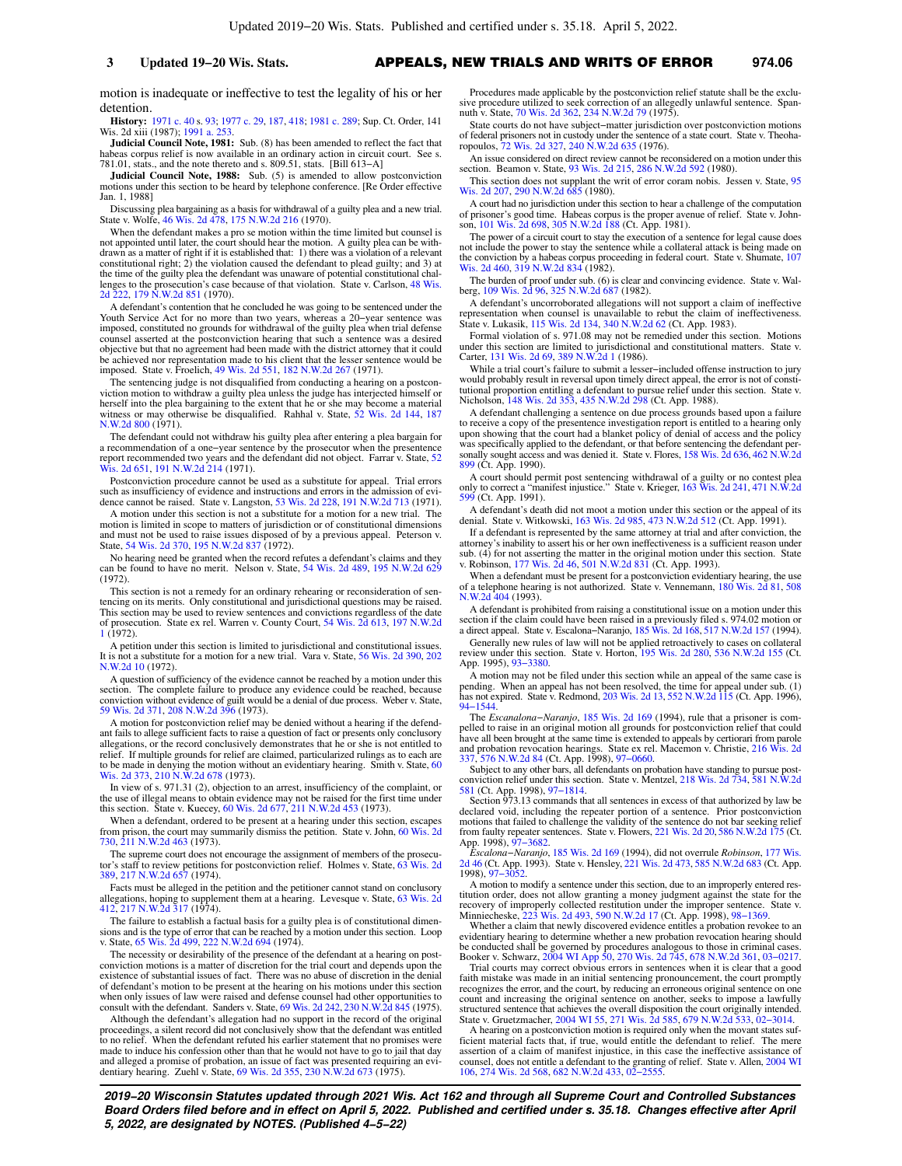motion is inadequate or ineffective to test the legality of his or her detention.

**History:** [1971 c. 40](https://docs-preview.legis.wisconsin.gov/document/acts/1971/40) s. [93](https://docs-preview.legis.wisconsin.gov/document/acts/1971/40,%20s.%2093); [1977 c. 29,](https://docs-preview.legis.wisconsin.gov/document/acts/1977/29) [187,](https://docs-preview.legis.wisconsin.gov/document/acts/1977/187) [418;](https://docs-preview.legis.wisconsin.gov/document/acts/1977/418) [1981 c. 289;](https://docs-preview.legis.wisconsin.gov/document/acts/1981/289) Sup. Ct. Order, 141 Wis. 2d xiii (1987); [1991 a. 253](https://docs-preview.legis.wisconsin.gov/document/acts/1991/253). **Judicial Council Note, 1981:** Sub. (8) has been amended to reflect the fact that

habeas corpus relief is now available in an ordinary action in circuit court. See s. 781.01, stats., and the note thereto and s. 809.51, stats. [Bill 613−A]

**Judicial Council Note, 1988:** Sub. (5) is amended to allow postconviction motions under this section to be heard by telephone conference. [Re Order effective Jan. 1, 1988]

Discussing plea bargaining as a basis for withdrawal of a guilty plea and a new trial. State v. Wolfe, [46 Wis. 2d 478](https://docs-preview.legis.wisconsin.gov/document/courts/46%20Wis.%202d%20478), [175 N.W.2d 216](https://docs-preview.legis.wisconsin.gov/document/courts/175%20N.W.2d%20216) (1970).

When the defendant makes a pro se motion within the time limited but counsel is not appointed until later, the court should hear the motion. A guilty plea can be with-drawn as a matter of right if it is established that: 1) there was a violation of a relevant constitutional right; 2) the violation caused the defendant to plead guilty; and 3) at the time of the guilty plea the defendant was unaware of potential constitutional challenges to the prosecution's case because of that violation. State v. Carlson, [48 Wis.](https://docs-preview.legis.wisconsin.gov/document/courts/48%20Wis.%202d%20222) [2d 222](https://docs-preview.legis.wisconsin.gov/document/courts/48%20Wis.%202d%20222), [179 N.W.2d 851](https://docs-preview.legis.wisconsin.gov/document/courts/179%20N.W.2d%20851) (1970).

A defendant's contention that he concluded he was going to be sentenced under the Youth Service Act for no more than two years, whereas a 20–year sentence was<br>imposed, constituted no grounds for withdrawal of the guilty plea when trial defense<br>counsel asserted at the postconviction hearing that such a s objective but that no agreement had been made with the district attorney that it could be achieved nor representation made to his client that the lesser sentence would be imposed. State v. Froelich, [49 Wis. 2d 551](https://docs-preview.legis.wisconsin.gov/document/courts/49%20Wis.%202d%20551), [182 N.W.2d 267](https://docs-preview.legis.wisconsin.gov/document/courts/182%20N.W.2d%20267) (1971).

The sentencing judge is not disqualified from conducting a hearing on a postcon-viction motion to withdraw a guilty plea unless the judge has interjected himself or herself into the plea bargaining to the extent that he or she may become a material witness or may otherwise be disqualified. Rahhal v. State, [52 Wis. 2d 144](https://docs-preview.legis.wisconsin.gov/document/courts/52%20Wis.%202d%20144), [187](https://docs-preview.legis.wisconsin.gov/document/courts/187%20N.W.2d%20800) [N.W.2d 800](https://docs-preview.legis.wisconsin.gov/document/courts/187%20N.W.2d%20800) (1971).

The defendant could not withdraw his guilty plea after entering a plea bargain for a recommendation of a one−year sentence by the prosecutor when the presentence report recommended two years and the defendant did not object. Farrar v. State, [52](https://docs-preview.legis.wisconsin.gov/document/courts/52%20Wis.%202d%20651) [Wis. 2d 651,](https://docs-preview.legis.wisconsin.gov/document/courts/52%20Wis.%202d%20651) [191 N.W.2d 214](https://docs-preview.legis.wisconsin.gov/document/courts/191%20N.W.2d%20214) (1971).

Postconviction procedure cannot be used as a substitute for appeal. Trial errors such as insufficiency of evidence and instructions and errors in the admission of evidence cannot be raised. State v. Langston, [53 Wis. 2d 228,](https://docs-preview.legis.wisconsin.gov/document/courts/53%20Wis.%202d%20228) [191 N.W.2d 713](https://docs-preview.legis.wisconsin.gov/document/courts/191%20N.W.2d%20713) (1971).

A motion under this section is not a substitute for a motion for a new trial. The motion is limited in scope to matters of jurisdiction or of constitutional dimensions and must not be used to raise issues disposed of by a previous appeal. Peterson v. State, [54 Wis. 2d 370,](https://docs-preview.legis.wisconsin.gov/document/courts/54%20Wis.%202d%20370) [195 N.W.2d 837](https://docs-preview.legis.wisconsin.gov/document/courts/195%20N.W.2d%20837) (1972).

No hearing need be granted when the record refutes a defendant's claims and they can be found to have no merit. Nelson v. State, [54 Wis. 2d 489](https://docs-preview.legis.wisconsin.gov/document/courts/54%20Wis.%202d%20489), [195 N.W.2d 629](https://docs-preview.legis.wisconsin.gov/document/courts/195%20N.W.2d%20629) (1972).

This section is not a remedy for an ordinary rehearing or reconsideration of sentencing on its merits. Only constitutional and jurisdictional questions may be raised. This section may be used to review sentences and convictions regardless of the date of prosecution. State ex rel. Warren v. County Court, [54 Wis. 2d 613](https://docs-preview.legis.wisconsin.gov/document/courts/54%20Wis.%202d%20613), [197 N.W.2d](https://docs-preview.legis.wisconsin.gov/document/courts/197%20N.W.2d%201) [1](https://docs-preview.legis.wisconsin.gov/document/courts/197%20N.W.2d%201) (1972).

A petition under this section is limited to jurisdictional and constitutional issues. It is not a substitute for a motion for a new trial. Vara v. State, [56 Wis. 2d 390](https://docs-preview.legis.wisconsin.gov/document/courts/56%20Wis.%202d%20390), [202](https://docs-preview.legis.wisconsin.gov/document/courts/202%20N.W.2d%2010) [N.W.2d 10](https://docs-preview.legis.wisconsin.gov/document/courts/202%20N.W.2d%2010) (1972).

A question of sufficiency of the evidence cannot be reached by a motion under this section. The complete failure to produce any evidence could be reached, because conviction without evidence of guilt would be a denial of due process. Weber v. State, [59 Wis. 2d 371](https://docs-preview.legis.wisconsin.gov/document/courts/59%20Wis.%202d%20371), [208 N.W.2d 396](https://docs-preview.legis.wisconsin.gov/document/courts/208%20N.W.2d%20396) (1973).

A motion for postconviction relief may be denied without a hearing if the defendant fails to allege sufficient facts to raise a question of fact or presents only conclusory allegations, or the record conclusively demonstrates that he or she is not entitled to relief. If multiple grounds for relief are claimed, particularized rulings as to each are to be made in denying the motion without an evidentiary hearing. Smith v. State, [60](https://docs-preview.legis.wisconsin.gov/document/courts/60%20Wis.%202d%20373) [Wis. 2d 373,](https://docs-preview.legis.wisconsin.gov/document/courts/60%20Wis.%202d%20373) [210 N.W.2d 678](https://docs-preview.legis.wisconsin.gov/document/courts/210%20N.W.2d%20678) (1973).

In view of s. 971.31 (2), objection to an arrest, insufficiency of the complaint, or the use of illegal means to obtain evidence may not be raised for the first time under this section. State v. Kuecey, [60 Wis. 2d 677](https://docs-preview.legis.wisconsin.gov/document/courts/60%20Wis.%202d%20677), [211 N.W.2d 453](https://docs-preview.legis.wisconsin.gov/document/courts/211%20N.W.2d%20453) (1973).

When a defendant, ordered to be present at a hearing under this section, escapes from prison, the court may summarily dismiss the petition. State v. John, [60 Wis. 2d](https://docs-preview.legis.wisconsin.gov/document/courts/60%20Wis.%202d%20730) [730](https://docs-preview.legis.wisconsin.gov/document/courts/60%20Wis.%202d%20730), [211 N.W.2d 463](https://docs-preview.legis.wisconsin.gov/document/courts/211%20N.W.2d%20463) (1973).

The supreme court does not encourage the assignment of members of the prosecutor's staff to review petitions for postconviction relief. Holmes v. State, [63 Wis. 2d](https://docs-preview.legis.wisconsin.gov/document/courts/63%20Wis.%202d%20389) [389](https://docs-preview.legis.wisconsin.gov/document/courts/63%20Wis.%202d%20389), [217 N.W.2d 657](https://docs-preview.legis.wisconsin.gov/document/courts/217%20N.W.2d%20657) (1974).

Facts must be alleged in the petition and the petitioner cannot stand on conclusory allegations, hoping to supplement them at a hearing. Levesque v. State, [63 Wis. 2d](https://docs-preview.legis.wisconsin.gov/document/courts/63%20Wis.%202d%20412) [412](https://docs-preview.legis.wisconsin.gov/document/courts/63%20Wis.%202d%20412), [217 N.W.2d 317](https://docs-preview.legis.wisconsin.gov/document/courts/217%20N.W.2d%20317) (1974).

The failure to establish a factual basis for a guilty plea is of constitutional dimensions and is the type of error that can be reached by a motion under this section. Loop v. State, [65 Wis. 2d 499](https://docs-preview.legis.wisconsin.gov/document/courts/65%20Wis.%202d%20499), [222 N.W.2d 694](https://docs-preview.legis.wisconsin.gov/document/courts/222%20N.W.2d%20694) (1974).

The necessity or desirability of the presence of the defendant at a hearing on postconviction motions is a matter of discretion for the trial court and depends upon the existence of substantial issues of fact. There was no abuse of discretion in the denial of defendant's motion to be present at the hearing on his motions under this section when only issues of law were raised and defense counsel had other opportunities to consult with the defendant. Sanders v. State, [69 Wis. 2d 242,](https://docs-preview.legis.wisconsin.gov/document/courts/69%20Wis.%202d%20242) [230 N.W.2d 845](https://docs-preview.legis.wisconsin.gov/document/courts/230%20N.W.2d%20845) (1975).

Although the defendant's allegation had no support in the record of the original proceedings, a silent record did not conclusively show that the defendant was entitled to no relief. When the defendant refuted his earlier statement that no promises were made to induce his confession other than that he would not have to go to jail that day and alleged a promise of probation, an issue of fact was presented requiring an evidentiary hearing. Zuehl v. State, [69 Wis. 2d 355](https://docs-preview.legis.wisconsin.gov/document/courts/69%20Wis.%202d%20355), [230 N.W.2d 673](https://docs-preview.legis.wisconsin.gov/document/courts/230%20N.W.2d%20673) (1975).

Procedures made applicable by the postconviction relief statute shall be the exclu-sive procedure utilized to seek correction of an allegedly unlawful sentence. Span-<br>nuth v. State, [70 Wis. 2d 362,](https://docs-preview.legis.wisconsin.gov/document/courts/70%20Wis.%202d%20362) [234 N.W.2d 79](https://docs-preview.legis.wisconsin.gov/document/courts/234%20N.W.2d%2079) (1975).

State courts do not have subject−matter jurisdiction over postconviction motions of federal prisoners not in custody under the sentence of a state court. State v. Theoha-ropoulos, [72 Wis. 2d 327,](https://docs-preview.legis.wisconsin.gov/document/courts/72%20Wis.%202d%20327) [240 N.W.2d 635](https://docs-preview.legis.wisconsin.gov/document/courts/240%20N.W.2d%20635) (1976).

An issue considered on direct review cannot be reconsidered on a motion under this section. Beamon v. State, [93 Wis. 2d 215,](https://docs-preview.legis.wisconsin.gov/document/courts/93%20Wis.%202d%20215) [286 N.W.2d 592](https://docs-preview.legis.wisconsin.gov/document/courts/286%20N.W.2d%20592) (1980).

This section does not supplant the writ of error coram nobis. Jessen v. State, [95](https://docs-preview.legis.wisconsin.gov/document/courts/95%20Wis.%202d%20207) [Wis. 2d 207,](https://docs-preview.legis.wisconsin.gov/document/courts/95%20Wis.%202d%20207) [290 N.W.2d 685](https://docs-preview.legis.wisconsin.gov/document/courts/290%20N.W.2d%20685) (1980).

A court had no jurisdiction under this section to hear a challenge of the computation of prisoner's good time. Habeas corpus is the proper avenue of relief. State v. Johnson, [101 Wis. 2d 698](https://docs-preview.legis.wisconsin.gov/document/courts/101%20Wis.%202d%20698), [305 N.W.2d 188](https://docs-preview.legis.wisconsin.gov/document/courts/305%20N.W.2d%20188) (Ct. App. 1981).

The power of a circuit court to stay the execution of a sentence for legal cause does not include the power to stay the sentence while a collateral attack is being made on the conviction by a habeas corpus proceeding in federal court. State v. Shumate, [107](https://docs-preview.legis.wisconsin.gov/document/courts/107%20Wis.%202d%20460) [Wis. 2d 460,](https://docs-preview.legis.wisconsin.gov/document/courts/107%20Wis.%202d%20460) [319 N.W.2d 834](https://docs-preview.legis.wisconsin.gov/document/courts/319%20N.W.2d%20834) (1982).

The burden of proof under sub. (6) is clear and convincing evidence. State v. Wal-berg, [109 Wis. 2d 96](https://docs-preview.legis.wisconsin.gov/document/courts/109%20Wis.%202d%2096), [325 N.W.2d 687](https://docs-preview.legis.wisconsin.gov/document/courts/325%20N.W.2d%20687) (1982).

A defendant's uncorroborated allegations will not support a claim of ineffective representation when counsel is unavailable to rebut the claim of ineffectiveness.<br>State v. Lukasik, [115 Wis. 2d 134](https://docs-preview.legis.wisconsin.gov/document/courts/115%20Wis.%202d%20134), [340 N.W.2d 62](https://docs-preview.legis.wisconsin.gov/document/courts/340%20N.W.2d%2062) (Ct. App. 1983).

Formal violation of s. 971.08 may not be remedied under this section. Motions under this section are limited to jurisdictional and constitutional matters. State v. Carter, [131 Wis. 2d 69](https://docs-preview.legis.wisconsin.gov/document/courts/131%20Wis.%202d%2069), [389 N.W.2d 1](https://docs-preview.legis.wisconsin.gov/document/courts/389%20N.W.2d%201) (1986).

While a trial court's failure to submit a lesser−included offense instruction to jury would probably result in reversal upon timely direct appeal, the error is not of constitutional proportion entitling a defendant to pursue relief under this section. State v.<br>Nicholson, [148 Wis. 2d 353](https://docs-preview.legis.wisconsin.gov/document/courts/148%20Wis.%202d%20353), [435 N.W.2d 298](https://docs-preview.legis.wisconsin.gov/document/courts/435%20N.W.2d%20298) (Ct.

A defendant challenging a sentence on due process grounds based upon a failure to receive a copy of the presentence investigation report is entitled to a hearing only upon showing that the court had a blanket policy of denial of access and the policy was specifically applied to the defendant, or that before sentencing the defendant personally sought access and was denied it. State v. Flores, [158 Wis. 2d 636](https://docs-preview.legis.wisconsin.gov/document/courts/158%20Wis.%202d%20636), [462 N.W.2d](https://docs-preview.legis.wisconsin.gov/document/courts/462%20N.W.2d%20899) [899](https://docs-preview.legis.wisconsin.gov/document/courts/462%20N.W.2d%20899) (Ct. App. 1990).

A court should permit post sentencing withdrawal of a guilty or no contest plea<br>only to correct a "manifest injustice." State v. Krieger, [163 Wis. 2d 241,](https://docs-preview.legis.wisconsin.gov/document/courts/163%20Wis.%202d%20241) [471 N.W.2d](https://docs-preview.legis.wisconsin.gov/document/courts/471%20N.W.2d%20599)<br>[599](https://docs-preview.legis.wisconsin.gov/document/courts/471%20N.W.2d%20599) (Ct. App. 1991).

A defendant's death did not moot a motion under this section or the appeal of its denial. State v. Witkowski, [163 Wis. 2d 985,](https://docs-preview.legis.wisconsin.gov/document/courts/163%20Wis.%202d%20985) [473 N.W.2d 512](https://docs-preview.legis.wisconsin.gov/document/courts/473%20N.W.2d%20512) (Ct. App. 1991).

If a defendant is represented by the same attorney at trial and after conviction, the attorney's inability to assert his or her own ineffectiveness is a sufficient reason under sub. (4) for not asserting the matter in the original motion under this section. State v. Robinson, [177 Wis. 2d 46,](https://docs-preview.legis.wisconsin.gov/document/courts/177%20Wis.%202d%2046) [501 N.W.2d 831](https://docs-preview.legis.wisconsin.gov/document/courts/501%20N.W.2d%20831) (Ct. App. 1993).

When a defendant must be present for a postconviction evidentiary hearing, the use of a telephone hearing is not authorized. State v. Vennemann, [180 Wis. 2d 81](https://docs-preview.legis.wisconsin.gov/document/courts/180%20Wis.%202d%2081), [508](https://docs-preview.legis.wisconsin.gov/document/courts/508%20N.W.2d%20404) [N.W.2d 404](https://docs-preview.legis.wisconsin.gov/document/courts/508%20N.W.2d%20404) (1993).

A defendant is prohibited from raising a constitutional issue on a motion under this section if the claim could have been raised in a previously filed s. 974.02 motion or a direct appeal. State v. Escalona−Naranjo, [185 Wis. 2d 168,](https://docs-preview.legis.wisconsin.gov/document/courts/185%20Wis.%202d%20168) [517 N.W.2d 157](https://docs-preview.legis.wisconsin.gov/document/courts/517%20N.W.2d%20157) (1994).

Generally new rules of law will not be applied retroactively to cases on collateral review under this section. State v. Horton, [195 Wis. 2d 280](https://docs-preview.legis.wisconsin.gov/document/courts/195%20Wis.%202d%20280), [536 N.W.2d 155](https://docs-preview.legis.wisconsin.gov/document/courts/536%20N.W.2d%20155) (Ct. App. 1995), [93−3380](https://docs-preview.legis.wisconsin.gov/document/wicourtofappeals/93-3380).

A motion may not be filed under this section while an appeal of the same case is pending. When an appeal has not been resolved, the time for appeal under sub. (1) has not expired. State v. Redmond, [203 Wis. 2d 13](https://docs-preview.legis.wisconsin.gov/document/courts/203%20Wis.%202d%2013), [552 N.W.2d 115](https://docs-preview.legis.wisconsin.gov/document/courts/552%20N.W.2d%20115) (Ct. App. 1996), [94−1544.](https://docs-preview.legis.wisconsin.gov/document/wicourtofappeals/94-1544)

The *Escanalona−Naranjo*, [185 Wis. 2d 169](https://docs-preview.legis.wisconsin.gov/document/courts/185%20Wis.%202d%20169) (1994), rule that a prisoner is com-pelled to raise in an original motion all grounds for postconviction relief that could have all been brought at the same time is extended to appeals by certiorari from parole and probation revocation hearings. State ex rel. Macemon v. Christie, [216 Wis. 2d](https://docs-preview.legis.wisconsin.gov/document/courts/216%20Wis.%202d%20337) [337,](https://docs-preview.legis.wisconsin.gov/document/courts/216%20Wis.%202d%20337) [576 N.W.2d 84](https://docs-preview.legis.wisconsin.gov/document/courts/576%20N.W.2d%2084) (Ct. App. 1998), 97–0660.<br>Subject to any other bars, all defendants on probation have standing to pursue post-<br>Subject to

[581](https://docs-preview.legis.wisconsin.gov/document/courts/581%20N.W.2d%20581) (Ct. App. 1998), [97−1814.](https://docs-preview.legis.wisconsin.gov/document/wicourtofappeals/97-1814) Section 973.13 commands that all sentences in excess of that authorized by law be

declared void, including the repeater portion of a sentence. Prior postconviction motions that failed to challenge the validity of the sentence do not bar seeking relief from faulty repeater sentences. State v. Flowers, [221 Wis. 2d 20](https://docs-preview.legis.wisconsin.gov/document/courts/221%20Wis.%202d%2020), [586 N.W.2d 175](https://docs-preview.legis.wisconsin.gov/document/courts/586%20N.W.2d%20175) (Ct. App. 1998), [97−3682](https://docs-preview.legis.wisconsin.gov/document/wicourtofappeals/97-3682).

*Escalona−Naranjo*, [185 Wis. 2d 169](https://docs-preview.legis.wisconsin.gov/document/courts/185%20Wis.%202d%20169) (1994), did not overrule *Robinson*, [177 Wis.](https://docs-preview.legis.wisconsin.gov/document/courts/177%20Wis.%202d%2046) [2d 46](https://docs-preview.legis.wisconsin.gov/document/courts/177%20Wis.%202d%2046) (Ct. App. 1993). State v. Hensley, [221 Wis. 2d 473,](https://docs-preview.legis.wisconsin.gov/document/courts/221%20Wis.%202d%20473) [585 N.W.2d 683](https://docs-preview.legis.wisconsin.gov/document/courts/585%20N.W.2d%20683) (Ct. App. 1998), [97−3052](https://docs-preview.legis.wisconsin.gov/document/wicourtofappeals/97-3052).

A motion to modify a sentence under this section, due to an improperly entered res-titution order, does not allow granting a money judgment against the state for the recovery of improperly collected restitution under the improper sentence. State v.<br>Minniecheske, [223 Wis. 2d 493,](https://docs-preview.legis.wisconsin.gov/document/courts/223%20Wis.%202d%20493) [590 N.W.2d 17](https://docs-preview.legis.wisconsin.gov/document/courts/590%20N.W.2d%2017) (Ct. App. 1

Whether a claim that newly discovered evidence entitles a probation revokee to an evidentiary hearing to determine whether a new probation revocation hearing should be conducted shall be governed by procedures analogous to those in criminal cases. Booker v. Schwarz, [2004 WI App 50,](https://docs-preview.legis.wisconsin.gov/document/courts/2004%20WI%20App%2050) [270 Wis. 2d 745,](https://docs-preview.legis.wisconsin.gov/document/courts/270%20Wis.%202d%20745) [678 N.W.2d 361](https://docs-preview.legis.wisconsin.gov/document/courts/678%20N.W.2d%20361), [03−0217](https://docs-preview.legis.wisconsin.gov/document/wicourtofappeals/03-0217).

Trial courts may correct obvious errors in sentences when it is clear that a good faith mistake was made in an initial sentencing pronouncement, the court promptly recognizes the error, and the court, by reducing an erroneous original sentence on one count and increasing the original sentence on another, seeks to impose a lawfully structured sentence that achieves the overall disposition the court originally intended. State v. Gruetzmacher, [2004 WI 55,](https://docs-preview.legis.wisconsin.gov/document/courts/2004%20WI%2055) [271 Wis. 2d 585](https://docs-preview.legis.wisconsin.gov/document/courts/271%20Wis.%202d%20585), [679 N.W.2d 533,](https://docs-preview.legis.wisconsin.gov/document/courts/679%20N.W.2d%20533) [02−3014](https://docs-preview.legis.wisconsin.gov/document/wisupremecourt/02-3014). A hearing on a postconviction motion is required only when the movant states suf-

ficient material facts that, if true, would entitle the defendant to relief. The mere assertion of a claim of manifest injustice, in this case the ineffective assistance of counsel, does not entitle a defendant to the granting of relief. State v. Allen, [2004 WI](https://docs-preview.legis.wisconsin.gov/document/courts/2004%20WI%20106) [106,](https://docs-preview.legis.wisconsin.gov/document/courts/2004%20WI%20106) [274 Wis. 2d 568](https://docs-preview.legis.wisconsin.gov/document/courts/274%20Wis.%202d%20568), [682 N.W.2d 433,](https://docs-preview.legis.wisconsin.gov/document/courts/682%20N.W.2d%20433) [02−2555.](https://docs-preview.legis.wisconsin.gov/document/wisupremecourt/02-2555)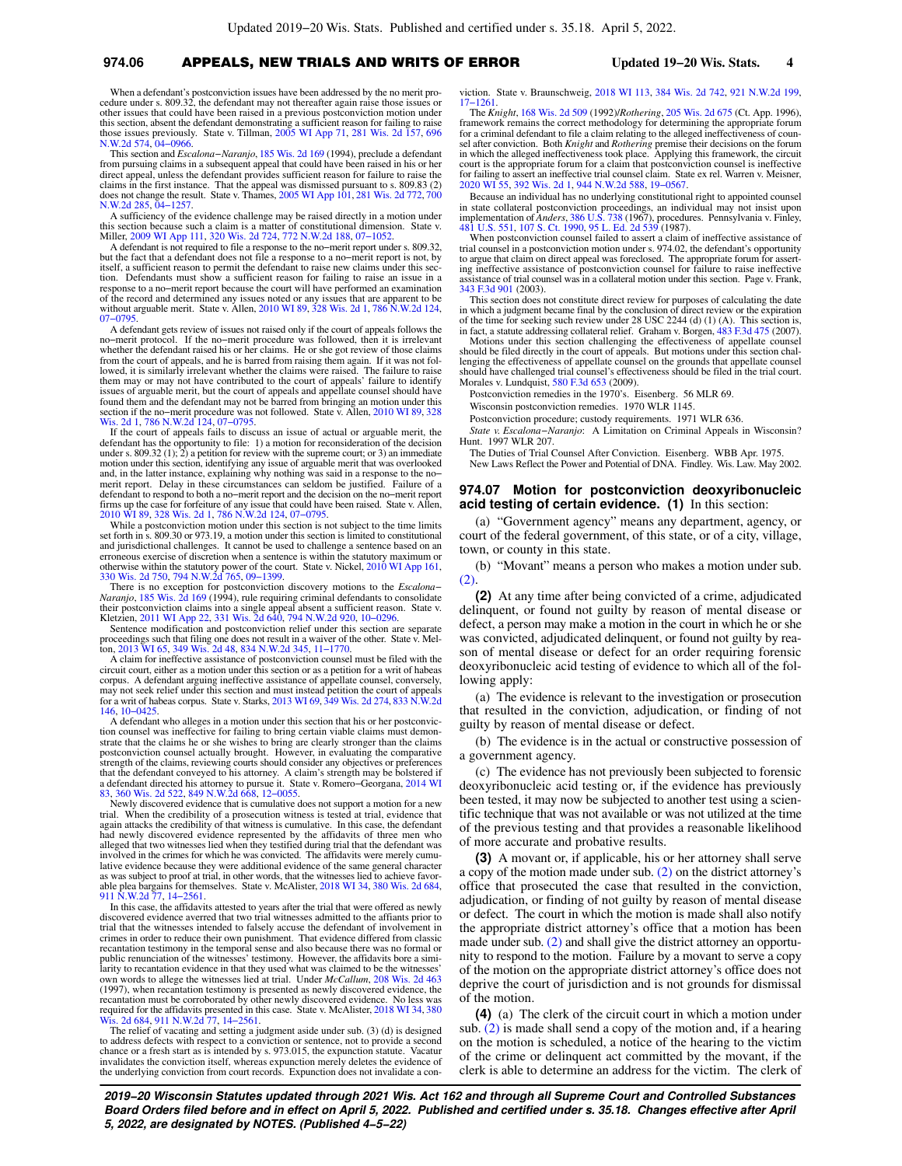#### **974.06** APPEALS, NEW TRIALS AND WRITS OF ERROR **Updated 19−20 Wis. Stats. 4**

When a defendant's postconviction issues have been addressed by the no merit procedure under s. 809.32, the defendant may not thereafter again raise those issues or other issues that could have been raised in a previous postconviction motion under this section, absent the defendant demonstrating a sufficient reason for failing to raise those issues previously. State v. Tillman, [2005 WI App 71](https://docs-preview.legis.wisconsin.gov/document/courts/2005%20WI%20App%2071), [281 Wis. 2d 157,](https://docs-preview.legis.wisconsin.gov/document/courts/281%20Wis.%202d%20157) [696](https://docs-preview.legis.wisconsin.gov/document/courts/696%20N.W.2d%20574) [N.W.2d 574,](https://docs-preview.legis.wisconsin.gov/document/courts/696%20N.W.2d%20574) [04−0966.](https://docs-preview.legis.wisconsin.gov/document/wicourtofappeals/04-0966)

This section and *Escalona−Naranjo*, [185 Wis. 2d 169](https://docs-preview.legis.wisconsin.gov/document/courts/185%20Wis.%202d%20169) (1994), preclude a defendant from pursuing claims in a subsequent appeal that could have been raised in his or her direct appeal, unless the defendant provides sufficient reason for failure to raise the claims in the first instance. That the appeal was dismissed pursuant to s. 809.83 (2) does not change the result. State v. Thames, [2005 WI App 101,](https://docs-preview.legis.wisconsin.gov/document/courts/2005%20WI%20App%20101) [281 Wis. 2d 772](https://docs-preview.legis.wisconsin.gov/document/courts/281%20Wis.%202d%20772), [700](https://docs-preview.legis.wisconsin.gov/document/courts/700%20N.W.2d%20285) [N.W.2d 285,](https://docs-preview.legis.wisconsin.gov/document/courts/700%20N.W.2d%20285) [04−1257.](https://docs-preview.legis.wisconsin.gov/document/wicourtofappeals/04-1257)

A sufficiency of the evidence challenge may be raised directly in a motion under this section because such a claim is a matter of constitutional dimension. State v. Miller, [2009 WI App 111,](https://docs-preview.legis.wisconsin.gov/document/courts/2009%20WI%20App%20111) [320 Wis. 2d 724](https://docs-preview.legis.wisconsin.gov/document/courts/320%20Wis.%202d%20724), [772 N.W.2d 188,](https://docs-preview.legis.wisconsin.gov/document/courts/772%20N.W.2d%20188) [07−1052](https://docs-preview.legis.wisconsin.gov/document/wicourtofappeals/07-1052).

A defendant is not required to file a response to the no−merit report under s. 809.32, but the fact that a defendant does not file a response to a no−merit report is not, by itself, a sufficient reason to permit the defendant to raise new claims under this section. Defendants must show a sufficient reason for failing to raise an issue in a response to a no−merit report because the court will have performed an examination of the record and determined any issues noted or any issues that are apparent to be without arguable merit. State v. Allen, [2010 WI 89](https://docs-preview.legis.wisconsin.gov/document/courts/2010%20WI%2089), [328 Wis. 2d 1,](https://docs-preview.legis.wisconsin.gov/document/courts/328%20Wis.%202d%201) [786 N.W.2d 124](https://docs-preview.legis.wisconsin.gov/document/courts/786%20N.W.2d%20124), [07−0795](https://docs-preview.legis.wisconsin.gov/document/wisupremecourt/07-0795).

A defendant gets review of issues not raised only if the court of appeals follows the no−merit protocol. If the no−merit procedure was followed, then it is irrelevant whether the defendant raised his or her claims. He or she got review of those claims from the court of appeals, and he is barred from raising them again. If it was not followed, it is similarly irrelevant whether the claims were raised. The failure to raise them may or may not have contributed to the court of appeals' failure to identify issues of arguable merit, but the court of appeals and appellate counsel should have found them and the defendant may not be barred from bringing an motion under this section if the no−merit procedure was not followed. State v. Allen, [2010 WI 89](https://docs-preview.legis.wisconsin.gov/document/courts/2010%20WI%2089), [328](https://docs-preview.legis.wisconsin.gov/document/courts/328%20Wis.%202d%201)<br>[Wis. 2d 1,](https://docs-preview.legis.wisconsin.gov/document/courts/328%20Wis.%202d%201) [786 N.W.2d 124](https://docs-preview.legis.wisconsin.gov/document/courts/786%20N.W.2d%20124), 07–0795.

If the court of appeals fails to discuss an issue of actual or arguable merit, the defendant has the opportunity to file: 1) a motion for reconsideration of the decision under s. 809.32 (1); 2) a petition for review with the supreme court; or 3) an immediate motion under this section, identifying any issue of arguable merit that was overlooked and, in the latter instance, explaining why nothing was said in a response to the no− merit report. Delay in these circumstances can seldom be justified. Failure of a defendant to respond to both a no−merit report and the decision on the no−merit report firms up the case for forfeiture of any issue that could have been raised. State v. Allen, [2010 WI 89](https://docs-preview.legis.wisconsin.gov/document/courts/2010%20WI%2089), [328 Wis. 2d 1,](https://docs-preview.legis.wisconsin.gov/document/courts/328%20Wis.%202d%201) [786 N.W.2d 124](https://docs-preview.legis.wisconsin.gov/document/courts/786%20N.W.2d%20124), [07−0795.](https://docs-preview.legis.wisconsin.gov/document/wisupremecourt/07-0795)

While a postconviction motion under this section is not subject to the time limits set forth in s. 809.30 or 973.19, a motion under this section is limited to constitutional and jurisdictional challenges. It cannot be used to challenge a sentence based on an erroneous exercise of discretion when a sentence is within the statutory maximum or otherwise within the statutory power of the court. State v. Nickel, [2010 WI App 161](https://docs-preview.legis.wisconsin.gov/document/courts/2010%20WI%20App%20161), [330 Wis. 2d 750,](https://docs-preview.legis.wisconsin.gov/document/courts/330%20Wis.%202d%20750) [794 N.W.2d 765,](https://docs-preview.legis.wisconsin.gov/document/courts/794%20N.W.2d%20765) [09−1399.](https://docs-preview.legis.wisconsin.gov/document/wicourtofappeals/09-1399)

There is no exception for postconviction discovery motions to the *Escalona− Naranjo*, [185 Wis. 2d 169](https://docs-preview.legis.wisconsin.gov/document/courts/185%20Wis.%202d%20169) (1994), rule requiring criminal defendants to consolidate their postconviction claims into a single appeal absent a sufficient reason. State v. Kletzien, [2011 WI App 22](https://docs-preview.legis.wisconsin.gov/document/courts/2011%20WI%20App%2022), [331 Wis. 2d 640,](https://docs-preview.legis.wisconsin.gov/document/courts/331%20Wis.%202d%20640) [794 N.W.2d 920](https://docs-preview.legis.wisconsin.gov/document/courts/794%20N.W.2d%20920), [10−0296](https://docs-preview.legis.wisconsin.gov/document/wicourtofappeals/10-0296).

Sentence modification and postconviction relief under this section are separate proceedings such that filing one does not result in a waiver of the other. State v. Mel-ton, [2013 WI 65,](https://docs-preview.legis.wisconsin.gov/document/courts/2013%20WI%2065) [349 Wis. 2d 48,](https://docs-preview.legis.wisconsin.gov/document/courts/349%20Wis.%202d%2048) [834 N.W.2d 345](https://docs-preview.legis.wisconsin.gov/document/courts/834%20N.W.2d%20345), [11−1770](https://docs-preview.legis.wisconsin.gov/document/wisupremecourt/11-1770).

A claim for ineffective assistance of postconviction counsel must be filed with the circuit court, either as a motion under this section or as a petition for a writ of habeas corpus. A defendant arguing ineffective assistance of appellate counsel, conversely, may not seek relief under this section and must instead petition the court of appeals for a writ of habeas corpus. State v. Starks, [2013 WI 69,](https://docs-preview.legis.wisconsin.gov/document/courts/2013%20WI%2069) [349 Wis. 2d 274,](https://docs-preview.legis.wisconsin.gov/document/courts/349%20Wis.%202d%20274) [833 N.W.2d](https://docs-preview.legis.wisconsin.gov/document/courts/833%20N.W.2d%20146) [146](https://docs-preview.legis.wisconsin.gov/document/courts/833%20N.W.2d%20146), [10−0425](https://docs-preview.legis.wisconsin.gov/document/wisupremecourt/10-0425).

A defendant who alleges in a motion under this section that his or her postconviction counsel was ineffective for failing to bring certain viable claims must demon-strate that the claims he or she wishes to bring are clearly stronger than the claims postconviction counsel actually brought. However, in evaluating the comparative<br>strength of the claims, reviewing courts should consider any objectives or preferences<br>that the defendant conveyed to his attorney. A claim's a defendant directed his attorney to pursue it. State v. Romero−Georgana, [2014 WI](https://docs-preview.legis.wisconsin.gov/document/courts/2014%20WI%2083) [83,](https://docs-preview.legis.wisconsin.gov/document/courts/2014%20WI%2083) [360 Wis. 2d 522](https://docs-preview.legis.wisconsin.gov/document/courts/360%20Wis.%202d%20522), [849 N.W.2d 668](https://docs-preview.legis.wisconsin.gov/document/courts/849%20N.W.2d%20668), [12−0055](https://docs-preview.legis.wisconsin.gov/document/wisupremecourt/12-0055).

Newly discovered evidence that is cumulative does not support a motion for a new trial. When the credibility of a prosecution witness is tested at trial, evidence that again attacks the credibility of that witness is cumulative. In this case, the defendant had newly discovered evidence represented by the affidavits of three men who alleged that two witnesses lied when they testified during trial that the defendant was involved in the crimes for which he was convicted. The affidavits were merely cumulative evidence because they were additional evidence of the same general character as was subject to proof at trial, in other words, that the witnesses lied to achieve favor-able plea bargains for themselves. State v. McAlister, [2018 WI 34,](https://docs-preview.legis.wisconsin.gov/document/courts/2018%20WI%2034) [380 Wis. 2d 684](https://docs-preview.legis.wisconsin.gov/document/courts/380%20Wis.%202d%20684), [911 N.W.2d 77](https://docs-preview.legis.wisconsin.gov/document/courts/911%20N.W.2d%2077), [14−2561](https://docs-preview.legis.wisconsin.gov/document/wisupremecourt/14-2561).

In this case, the affidavits attested to years after the trial that were offered as newly discovered evidence averred that two trial witnesses admitted to the affiants prior to trial that the witnesses intended to falsely accuse the defendant of involvement in crimes in order to reduce their own punishment. That evidence differed from classic recantation testimony in the temporal sense and also because there was no formal or public renunciation of the witnesses' testimony. However, the affidavits bore a similarity to recantation evidence in that they used what was claimed to be the witnesses' own words to allege the witnesses lied at trial. Under *McCallum*, [208 Wis. 2d 463](https://docs-preview.legis.wisconsin.gov/document/courts/208%20Wis.%202d%20463) (1997), when recantation testimony is presented as newly discovered evidence, the recantation must be corroborated by other newly discovered evidence. No less was required for the affidavits presented in this case. State v. McAlister, [2018 WI 34](https://docs-preview.legis.wisconsin.gov/document/courts/2018%20WI%2034), [380](https://docs-preview.legis.wisconsin.gov/document/courts/380%20Wis.%202d%20684)

[Wis. 2d 684,](https://docs-preview.legis.wisconsin.gov/document/courts/380%20Wis.%202d%20684) [911 N.W.2d 77](https://docs-preview.legis.wisconsin.gov/document/courts/911%20N.W.2d%2077), 14–2561.<br>The relief of vacating and setting a judgment aside under sub. (3) (d) is designed<br>to address defects with respect to a conviction or sentence, not to provide a second chance or a fresh start as is intended by s. 973.015, the expunction statute. Vacatur invalidates the conviction itself, whereas expunction merely deletes the evidence of the underlying conviction from court records. Expunction does not invalidate a conviction. State v. Braunschweig, [2018 WI 113](https://docs-preview.legis.wisconsin.gov/document/courts/2018%20WI%20113), [384 Wis. 2d 742](https://docs-preview.legis.wisconsin.gov/document/courts/384%20Wis.%202d%20742), [921 N.W.2d 199](https://docs-preview.legis.wisconsin.gov/document/courts/921%20N.W.2d%20199), [17−1261.](https://docs-preview.legis.wisconsin.gov/document/wisupremecourt/17-1261)

The *Knight*, [168 Wis. 2d 509](https://docs-preview.legis.wisconsin.gov/document/courts/168%20Wis.%202d%20509) (1992)/*Rothering*, [205 Wis. 2d 675](https://docs-preview.legis.wisconsin.gov/document/courts/205%20Wis.%202d%20675) (Ct. App. 1996), framework remains the correct methodology for determining the appropriate forum for a criminal defendant to file a claim relating to the alleged ineffectiveness of coun-sel after conviction. Both *Knight* and *Rothering* premise their decisions on the forum in which the alleged ineffectiveness took place. Applying this framework, the circuit court is the appropriate forum for a claim that postconviction counsel is ineffective for failing to assert an ineffective trial counsel claim. State ex rel. Warren v. Meisner, [2020 WI 55](https://docs-preview.legis.wisconsin.gov/document/courts/2020%20WI%2055), [392 Wis. 2d 1](https://docs-preview.legis.wisconsin.gov/document/courts/392%20Wis.%202d%201), [944 N.W.2d 588,](https://docs-preview.legis.wisconsin.gov/document/courts/944%20N.W.2d%20588) [19−0567.](https://docs-preview.legis.wisconsin.gov/document/wicourtofappeals/19-0567)

Because an individual has no underlying constitutional right to appointed counsel in state collateral postconviction proceedings, an individual may not insist upon<br>implementation of Anders, [386 U.S. 738](https://docs-preview.legis.wisconsin.gov/document/courts/386%20U.S.%20738) (1967), procedures. Pennsylvania v. Finley,<br>[481 U.S. 551](https://docs-preview.legis.wisconsin.gov/document/courts/481%20U.S.%20551), [107 S. Ct. 1990](https://docs-preview.legis.wisconsin.gov/document/courts/107%20S.%20Ct.%201990), [95 L. Ed. 2d 539](https://docs-preview.legis.wisconsin.gov/document/courts/95%20L.%20Ed.%202d%20539) (1987).

When postconviction counsel failed to assert a claim of ineffective assistance of trial counsel in a postconviction motion under s. 974.02, the defendant's opportunity to argue that claim on direct appeal was foreclosed. The appropriate forum for asserting ineffective assistance of postconviction counsel for failure to raise ineffective assistance of trial counsel was in a collateral motion under this section. Page v. Frank, [343 F.3d 901](https://docs-preview.legis.wisconsin.gov/document/courts/343%20F.3d%20901) (2003).

This section does not constitute direct review for purposes of calculating the date<br>in which a judgment became final by the conclusion of direct review or the expiration<br>of the time for seeking such review under 28 USC 22 in fact, a statute addressing collateral relief. Graham v. Borgen,  $483$  F.3d 475 (2007).

Motions under this section challenging the effectiveness of appellate counsel should be filed directly in the court of appeals. But motions under this section challenging the effectiveness of appellate counsel on the grounds that appellate counsel should have challenged trial counsel's effectiveness should be filed in the trial court. Morales v. Lundquist, [580 F.3d 653](https://docs-preview.legis.wisconsin.gov/document/courts/580%20F.3d%20653) (2009).

Postconviction remedies in the 1970's. Eisenberg. 56 MLR 69.

Wisconsin postconviction remedies. 1970 WLR 1145.

Postconviction procedure; custody requirements. 1971 WLR 636.

*State v. Escalona−Naranjo*: A Limitation on Criminal Appeals in Wisconsin? Hunt. 1997 WLR 207.

The Duties of Trial Counsel After Conviction. Eisenberg. WBB Apr. 1975. New Laws Reflect the Power and Potential of DNA. Findley. Wis. Law. May 2002.

#### **974.07 Motion for postconviction deoxyribonucleic acid testing of certain evidence. (1)** In this section:

(a) "Government agency" means any department, agency, or court of the federal government, of this state, or of a city, village, town, or county in this state.

(b) "Movant" means a person who makes a motion under sub.  $(2)$ 

**(2)** At any time after being convicted of a crime, adjudicated delinquent, or found not guilty by reason of mental disease or defect, a person may make a motion in the court in which he or she was convicted, adjudicated delinquent, or found not guilty by reason of mental disease or defect for an order requiring forensic deoxyribonucleic acid testing of evidence to which all of the following apply:

(a) The evidence is relevant to the investigation or prosecution that resulted in the conviction, adjudication, or finding of not guilty by reason of mental disease or defect.

(b) The evidence is in the actual or constructive possession of a government agency.

(c) The evidence has not previously been subjected to forensic deoxyribonucleic acid testing or, if the evidence has previously been tested, it may now be subjected to another test using a scientific technique that was not available or was not utilized at the time of the previous testing and that provides a reasonable likelihood of more accurate and probative results.

**(3)** A movant or, if applicable, his or her attorney shall serve a copy of the motion made under sub. [\(2\)](https://docs-preview.legis.wisconsin.gov/document/statutes/974.07(2)) on the district attorney's office that prosecuted the case that resulted in the conviction, adjudication, or finding of not guilty by reason of mental disease or defect. The court in which the motion is made shall also notify the appropriate district attorney's office that a motion has been made under sub. [\(2\)](https://docs-preview.legis.wisconsin.gov/document/statutes/974.07(2)) and shall give the district attorney an opportunity to respond to the motion. Failure by a movant to serve a copy of the motion on the appropriate district attorney's office does not deprive the court of jurisdiction and is not grounds for dismissal of the motion.

**(4)** (a) The clerk of the circuit court in which a motion under sub. [\(2\)](https://docs-preview.legis.wisconsin.gov/document/statutes/974.07(2)) is made shall send a copy of the motion and, if a hearing on the motion is scheduled, a notice of the hearing to the victim of the crime or delinquent act committed by the movant, if the clerk is able to determine an address for the victim. The clerk of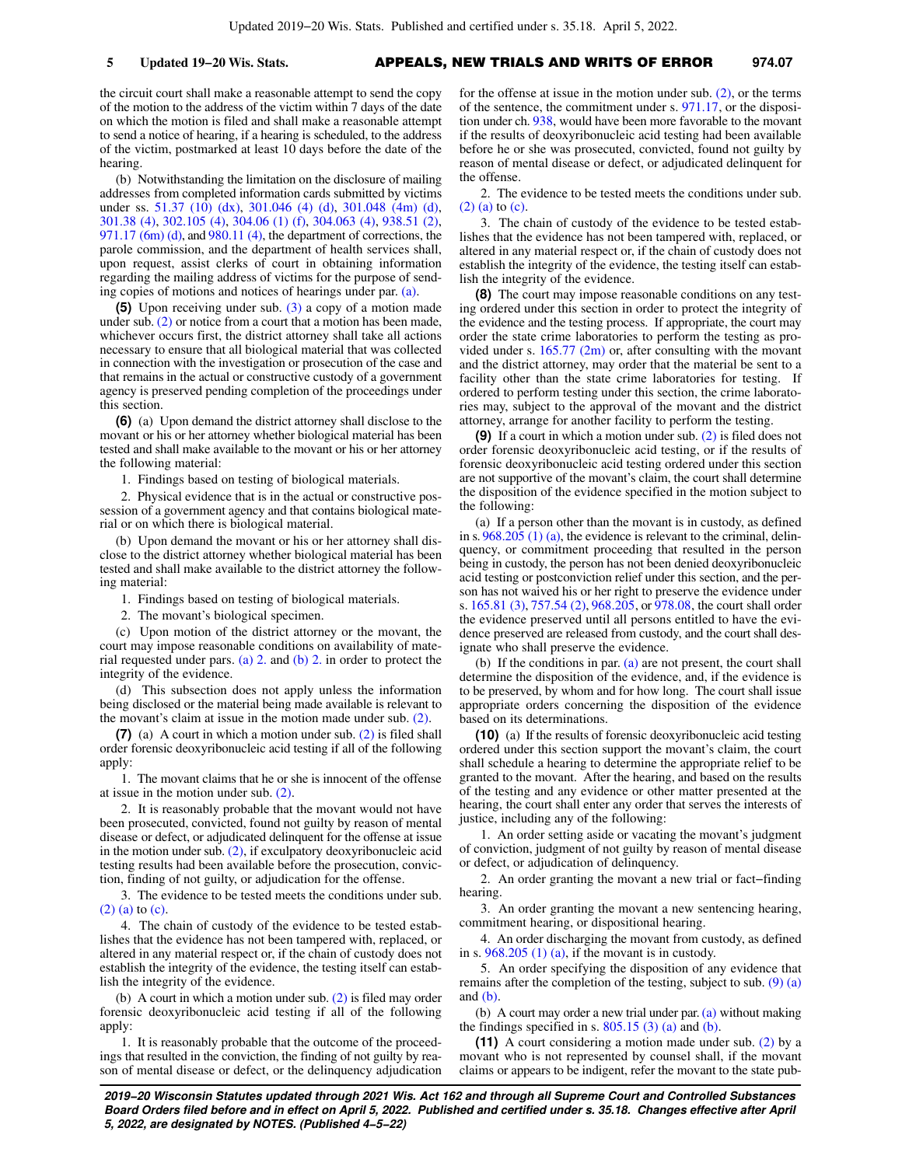the circuit court shall make a reasonable attempt to send the copy of the motion to the address of the victim within 7 days of the date on which the motion is filed and shall make a reasonable attempt to send a notice of hearing, if a hearing is scheduled, to the address of the victim, postmarked at least 10 days before the date of the hearing.

(b) Notwithstanding the limitation on the disclosure of mailing addresses from completed information cards submitted by victims under ss. [51.37 \(10\) \(dx\),](https://docs-preview.legis.wisconsin.gov/document/statutes/51.37(10)(dx)) [301.046 \(4\) \(d\),](https://docs-preview.legis.wisconsin.gov/document/statutes/301.046(4)(d)) [301.048 \(4m\) \(d\),](https://docs-preview.legis.wisconsin.gov/document/statutes/301.048(4m)(d)) [301.38 \(4\),](https://docs-preview.legis.wisconsin.gov/document/statutes/301.38(4)) [302.105 \(4\)](https://docs-preview.legis.wisconsin.gov/document/statutes/302.105(4)), [304.06 \(1\) \(f\),](https://docs-preview.legis.wisconsin.gov/document/statutes/304.06(1)(f)) [304.063 \(4\),](https://docs-preview.legis.wisconsin.gov/document/statutes/304.063(4)) [938.51 \(2\),](https://docs-preview.legis.wisconsin.gov/document/statutes/938.51(2))  $971.17$  (6m) (d), and  $980.11$  (4), the department of corrections, the parole commission, and the department of health services shall, upon request, assist clerks of court in obtaining information regarding the mailing address of victims for the purpose of sending copies of motions and notices of hearings under par. [\(a\).](https://docs-preview.legis.wisconsin.gov/document/statutes/974.07(4)(a))

**(5)** Upon receiving under sub. [\(3\)](https://docs-preview.legis.wisconsin.gov/document/statutes/974.07(3)) a copy of a motion made under sub. [\(2\)](https://docs-preview.legis.wisconsin.gov/document/statutes/974.07(2)) or notice from a court that a motion has been made, whichever occurs first, the district attorney shall take all actions necessary to ensure that all biological material that was collected in connection with the investigation or prosecution of the case and that remains in the actual or constructive custody of a government agency is preserved pending completion of the proceedings under this section.

**(6)** (a) Upon demand the district attorney shall disclose to the movant or his or her attorney whether biological material has been tested and shall make available to the movant or his or her attorney the following material:

1. Findings based on testing of biological materials.

2. Physical evidence that is in the actual or constructive possession of a government agency and that contains biological material or on which there is biological material.

(b) Upon demand the movant or his or her attorney shall disclose to the district attorney whether biological material has been tested and shall make available to the district attorney the following material:

1. Findings based on testing of biological materials.

2. The movant's biological specimen.

(c) Upon motion of the district attorney or the movant, the court may impose reasonable conditions on availability of mate-rial requested under pars. [\(a\) 2.](https://docs-preview.legis.wisconsin.gov/document/statutes/974.07(6)(a)2.) and [\(b\) 2.](https://docs-preview.legis.wisconsin.gov/document/statutes/974.07(6)(b)2.) in order to protect the integrity of the evidence.

(d) This subsection does not apply unless the information being disclosed or the material being made available is relevant to the movant's claim at issue in the motion made under sub. [\(2\).](https://docs-preview.legis.wisconsin.gov/document/statutes/974.07(2))

**(7)** (a) A court in which a motion under sub. [\(2\)](https://docs-preview.legis.wisconsin.gov/document/statutes/974.07(2)) is filed shall order forensic deoxyribonucleic acid testing if all of the following apply:

1. The movant claims that he or she is innocent of the offense at issue in the motion under sub. [\(2\).](https://docs-preview.legis.wisconsin.gov/document/statutes/974.07(2))

2. It is reasonably probable that the movant would not have been prosecuted, convicted, found not guilty by reason of mental disease or defect, or adjudicated delinquent for the offense at issue in the motion under sub. [\(2\)](https://docs-preview.legis.wisconsin.gov/document/statutes/974.07(2)), if exculpatory deoxyribonucleic acid testing results had been available before the prosecution, conviction, finding of not guilty, or adjudication for the offense.

3. The evidence to be tested meets the conditions under sub. [\(2\) \(a\)](https://docs-preview.legis.wisconsin.gov/document/statutes/974.07(2)(a)) to [\(c\)](https://docs-preview.legis.wisconsin.gov/document/statutes/974.07(2)(c)).

4. The chain of custody of the evidence to be tested establishes that the evidence has not been tampered with, replaced, or altered in any material respect or, if the chain of custody does not establish the integrity of the evidence, the testing itself can establish the integrity of the evidence.

(b) A court in which a motion under sub. [\(2\)](https://docs-preview.legis.wisconsin.gov/document/statutes/974.07(2)) is filed may order forensic deoxyribonucleic acid testing if all of the following apply:

1. It is reasonably probable that the outcome of the proceedings that resulted in the conviction, the finding of not guilty by reason of mental disease or defect, or the delinquency adjudication for the offense at issue in the motion under sub.  $(2)$ , or the terms of the sentence, the commitment under s. [971.17](https://docs-preview.legis.wisconsin.gov/document/statutes/971.17), or the disposition under ch. [938,](https://docs-preview.legis.wisconsin.gov/document/statutes/ch.%20938) would have been more favorable to the movant if the results of deoxyribonucleic acid testing had been available before he or she was prosecuted, convicted, found not guilty by reason of mental disease or defect, or adjudicated delinquent for the offense.

2. The evidence to be tested meets the conditions under sub. [\(2\) \(a\)](https://docs-preview.legis.wisconsin.gov/document/statutes/974.07(2)(a)) to [\(c\)](https://docs-preview.legis.wisconsin.gov/document/statutes/974.07(2)(c)).

3. The chain of custody of the evidence to be tested establishes that the evidence has not been tampered with, replaced, or altered in any material respect or, if the chain of custody does not establish the integrity of the evidence, the testing itself can establish the integrity of the evidence.

**(8)** The court may impose reasonable conditions on any testing ordered under this section in order to protect the integrity of the evidence and the testing process. If appropriate, the court may order the state crime laboratories to perform the testing as provided under s.  $165.77$  (2m) or, after consulting with the movant and the district attorney, may order that the material be sent to a facility other than the state crime laboratories for testing. If ordered to perform testing under this section, the crime laboratories may, subject to the approval of the movant and the district attorney, arrange for another facility to perform the testing.

**(9)** If a court in which a motion under sub. [\(2\)](https://docs-preview.legis.wisconsin.gov/document/statutes/974.07(2)) is filed does not order forensic deoxyribonucleic acid testing, or if the results of forensic deoxyribonucleic acid testing ordered under this section are not supportive of the movant's claim, the court shall determine the disposition of the evidence specified in the motion subject to the following:

(a) If a person other than the movant is in custody, as defined in s. [968.205 \(1\) \(a\),](https://docs-preview.legis.wisconsin.gov/document/statutes/968.205(1)(a)) the evidence is relevant to the criminal, delinquency, or commitment proceeding that resulted in the person being in custody, the person has not been denied deoxyribonucleic acid testing or postconviction relief under this section, and the person has not waived his or her right to preserve the evidence under s. [165.81 \(3\),](https://docs-preview.legis.wisconsin.gov/document/statutes/165.81(3)) [757.54 \(2\),](https://docs-preview.legis.wisconsin.gov/document/statutes/757.54(2)) [968.205](https://docs-preview.legis.wisconsin.gov/document/statutes/968.205), or [978.08](https://docs-preview.legis.wisconsin.gov/document/statutes/978.08), the court shall order the evidence preserved until all persons entitled to have the evidence preserved are released from custody, and the court shall designate who shall preserve the evidence.

(b) If the conditions in par. [\(a\)](https://docs-preview.legis.wisconsin.gov/document/statutes/974.07(9)(a)) are not present, the court shall determine the disposition of the evidence, and, if the evidence is to be preserved, by whom and for how long. The court shall issue appropriate orders concerning the disposition of the evidence based on its determinations.

**(10)** (a) If the results of forensic deoxyribonucleic acid testing ordered under this section support the movant's claim, the court shall schedule a hearing to determine the appropriate relief to be granted to the movant. After the hearing, and based on the results of the testing and any evidence or other matter presented at the hearing, the court shall enter any order that serves the interests of justice, including any of the following:

1. An order setting aside or vacating the movant's judgment of conviction, judgment of not guilty by reason of mental disease or defect, or adjudication of delinquency.

2. An order granting the movant a new trial or fact–finding hearing.

3. An order granting the movant a new sentencing hearing, commitment hearing, or dispositional hearing.

4. An order discharging the movant from custody, as defined in s.  $968.205$  (1) (a), if the movant is in custody.

5. An order specifying the disposition of any evidence that remains after the completion of the testing, subject to sub.  $(9)$  (a) and  $(b)$ .

(b) A court may order a new trial under par. [\(a\)](https://docs-preview.legis.wisconsin.gov/document/statutes/974.07(10)(a)) without making the findings specified in s.  $805.15$  (3) (a) and [\(b\).](https://docs-preview.legis.wisconsin.gov/document/statutes/805.15(3)(b))

**(11)** A court considering a motion made under sub. [\(2\)](https://docs-preview.legis.wisconsin.gov/document/statutes/974.07(2)) by a movant who is not represented by counsel shall, if the movant claims or appears to be indigent, refer the movant to the state pub-